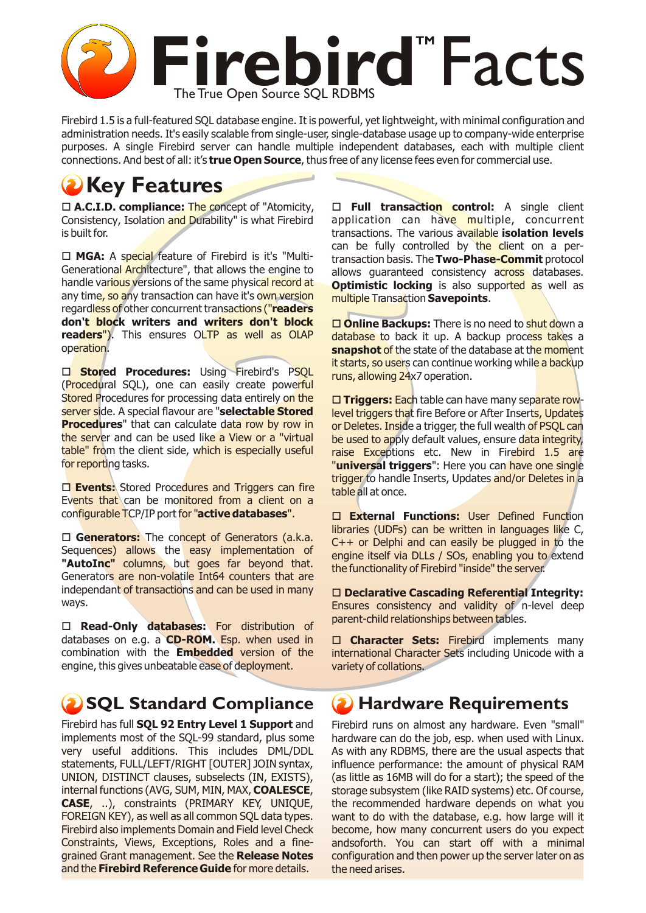

Firebird 1.5 is a full-featured SQL database engine. It is powerful, yet lightweight, with minimal configuration and administration needs. It's easily scalable from single-user, single-database usage up to company-wide enterprise purposes. A single Firebird server can handle multiple independent databases, each with multiple client connections. And best of all: it's **true Open Source**, thus free of any license fees even for commercial use.

# *Key Features*

□ **A.C.I.D. compliance:** The concept of "Atomicity, Consistency, Isolation and Durability" is what Firebird is built for.

□ MGA: A special feature of Firebird is it's "Multi-Generational Architecture", that allows the engine to handle various versions of the same physical record at any time, so any transaction can have it's own version regardless of other concurrent transactions ("**readers don't block writers and writers don't block readers**"). This ensures OLTP as well as OLAP operation.

**O Stored Procedures:** Using Firebird's PSQL (Procedural SQL), one can easily create powerful Stored Procedures for processing data entirely on the server side. A special flavour are "**selectable Stored Procedures**" that can calculate data row by row in the server and can be used like a View or a "virtual table" from the client side, which is especially useful for reporting tasks.

□ **Events:** Stored Procedures and Triggers can fire Events that can be monitored from a client on a configurable TCP/IP port for "**active databases**".

□ Generators: The concept of Generators (a.k.a. Sequences) allows the easy implementation of **"AutoInc"** columns, but goes far beyond that. Generators are non-volatile Int64 counters that are independant of transactions and can be used in many ways.

o **Read-Only databases:** For distribution of databases on e.g. a **CD-ROM.** Esp. when used in combination with the **Embedded** version of the engine, this gives unbeatable ease of deployment.

### **(2) SQL Standard Compliance**

Firebird has full **SQL 92 Entry Level 1 Support** and implements most of the SQL-99 standard, plus some very useful additions. This includes DML/DDL statements, FULL/LEFT/RIGHT [OUTER] JOIN syntax, UNION, DISTINCT clauses, subselects (IN, EXISTS), internal functions (AVG, SUM, MIN, MAX, **COALESCE**, **CASE**, ..), constraints (PRIMARY KEY, UNIQUE, FOREIGN KEY), as well as all common SQL data types. Firebird also implements Domain and Field level Check Constraints, Views, Exceptions, Roles and a finegrained Grant management. See the **Release Notes** and the **Firebird Reference Guide** for more details.

□ **Full transaction control:** A single client application can have multiple, concurrent transactions. The various available **isolation levels** can be fully controlled by the client on a pertransaction basis. The **Two-Phase-Commit** protocol allows guaranteed consistency across databases. **Optimistic locking** is also supported as well as multiple Transaction **Savepoints**.

**□ Online Backups:** There is no need to **shut do**wn a database to back it up. A backup process takes a **snapshot** of the state of the database at the moment it starts, so users can continue working while a backup runs, allowing 24x7 operation.

■ Triggers: Each table can have many separate rowlevel triggers that fire Before or After Inserts, Updates or Deletes. Inside a trigger, the full wealth of PSQL can be used to apply default values, ensure data integrity, raise Exceptions etc. New in Firebird 1.5 are "**universal triggers**": Here you can have one single trigger to handle Inserts, Updates and/or Deletes in a table all at once.

o **External Functions:** User Defined Function libraries (UDFs) can be written in languages like C,  $C++$  or Delphi and can easily be plugged in to the engine itself via DLLs / SOs, enabling you to extend the functionality of Firebird "inside" the server.

□ Declarative Cascading Referential Integrity: Ensures consistency and validity of n-level deep parent-child relationships between tables.

**Character Sets:** Firebird implements many international Character Sets including Unicode with a variety of collations.

#### **Hardware Requirements**

Firebird runs on almost any hardware. Even "small" hardware can do the job, esp. when used with Linux. As with any RDBMS, there are the usual aspects that influence performance: the amount of physical RAM (as little as 16MB will do for a start); the speed of the storage subsystem (like RAID systems) etc. Of course, the recommended hardware depends on what you want to do with the database, e.g. how large will it become, how many concurrent users do you expect andsoforth. You can start off with a minimal configuration and then power up the server later on as the need arises.